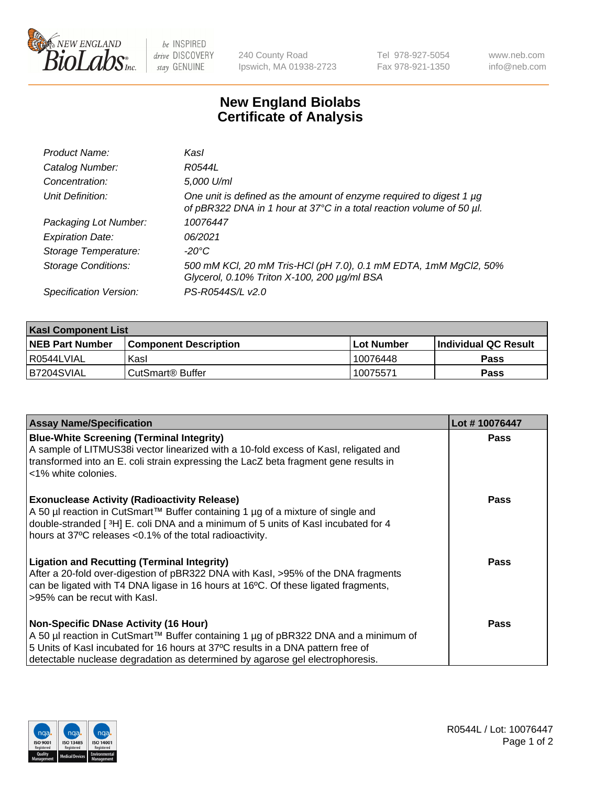

be INSPIRED drive DISCOVERY stay GENUINE

240 County Road Ipswich, MA 01938-2723 Tel 978-927-5054 Fax 978-921-1350

www.neb.com info@neb.com

## **New England Biolabs Certificate of Analysis**

| Product Name:              | Kasl                                                                                                                                        |
|----------------------------|---------------------------------------------------------------------------------------------------------------------------------------------|
| Catalog Number:            | R0544L                                                                                                                                      |
| Concentration:             | 5,000 U/ml                                                                                                                                  |
| Unit Definition:           | One unit is defined as the amount of enzyme required to digest 1 µg<br>of pBR322 DNA in 1 hour at 37°C in a total reaction volume of 50 µl. |
| Packaging Lot Number:      | 10076447                                                                                                                                    |
| <b>Expiration Date:</b>    | 06/2021                                                                                                                                     |
| Storage Temperature:       | -20°C                                                                                                                                       |
| <b>Storage Conditions:</b> | 500 mM KCl, 20 mM Tris-HCl (pH 7.0), 0.1 mM EDTA, 1mM MgCl2, 50%<br>Glycerol, 0.10% Triton X-100, 200 µg/ml BSA                             |
| Specification Version:     | PS-R0544S/L v2.0                                                                                                                            |

| <b>Kasl Component List</b> |                              |                   |                             |  |  |
|----------------------------|------------------------------|-------------------|-----------------------------|--|--|
| <b>NEB Part Number</b>     | <b>Component Description</b> | <b>Lot Number</b> | <b>Individual QC Result</b> |  |  |
| I R0544LVIAL               | Kasl                         | 10076448          | <b>Pass</b>                 |  |  |
| B7204SVIAL                 | l CutSmart® Buffer           | 10075571          | Pass                        |  |  |

| <b>Assay Name/Specification</b>                                                                                                                                                                                                                                                                         | Lot #10076447 |
|---------------------------------------------------------------------------------------------------------------------------------------------------------------------------------------------------------------------------------------------------------------------------------------------------------|---------------|
| <b>Blue-White Screening (Terminal Integrity)</b><br>A sample of LITMUS38i vector linearized with a 10-fold excess of Kasl, religated and<br>transformed into an E. coli strain expressing the LacZ beta fragment gene results in<br><1% white colonies.                                                 | Pass          |
| <b>Exonuclease Activity (Radioactivity Release)</b><br>A 50 µl reaction in CutSmart™ Buffer containing 1 µg of a mixture of single and<br>double-stranded [3H] E. coli DNA and a minimum of 5 units of Kasl incubated for 4<br>hours at 37°C releases <0.1% of the total radioactivity.                 | <b>Pass</b>   |
| <b>Ligation and Recutting (Terminal Integrity)</b><br>After a 20-fold over-digestion of pBR322 DNA with Kasl, >95% of the DNA fragments<br>can be ligated with T4 DNA ligase in 16 hours at 16°C. Of these ligated fragments,<br>>95% can be recut with Kasl.                                           | Pass          |
| <b>Non-Specific DNase Activity (16 Hour)</b><br>A 50 µl reaction in CutSmart™ Buffer containing 1 µg of pBR322 DNA and a minimum of<br>5 Units of Kasl incubated for 16 hours at 37°C results in a DNA pattern free of<br>detectable nuclease degradation as determined by agarose gel electrophoresis. | Pass          |